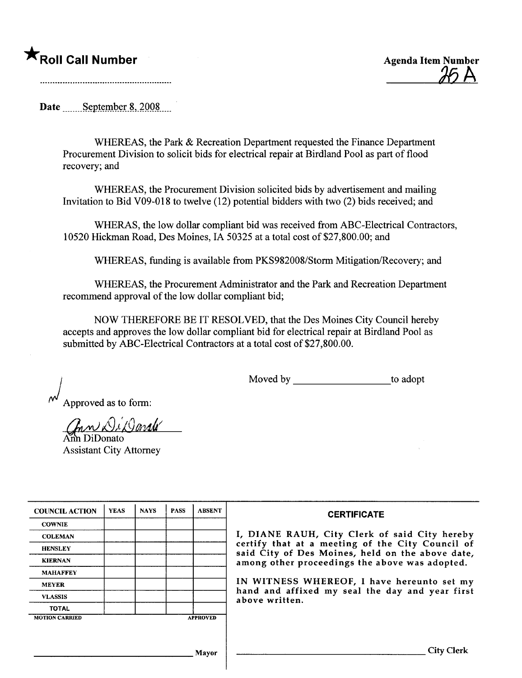## ★<br> **★**Roll Call Number Agenda Item Number

 $\mathcal{H} \mathsf{A}$ 

Date \_\_\_\_\_\_September 8, 2008....

WHEREAS, the Park & Recreation Department requested the Finance Department Procurement Division to solicit bids for electrical repair at Birdland Pool as part of flood recovery; and

WHEREAS, the Procurement Division solicited bids by advertisement and mailing Invitation to Bid V09-018 to twelve (12) potential bidders with two (2) bids received; and

WHERAS, the low dollar compliant bid was received from ABC-Electrical Contractors, 10520 Hickman Road, Des Moines, IA 50325 at a total cost of \$27,800.00; and

WHEREAS, funding is available from PKS982008/Storm Mitigation/ecovery; and

WHEREAS, the Procurement Administrator and the Park and Recreation Department recommend approval of the low dollar compliant bid;

NOW THEREFORE BE IT RESOLVED, that the Des Moines City Council hereby accepts and approves the low dollar compliant bid for electrical repair at Birdland Pool as submitted by ABC-Electrical Contractors at a total cost of \$27,800.00.

Moved by to adopt

Approved as to form:

Gan Di Darale

Assistant City Attorney

| <b>COUNCIL ACTION</b> | <b>YEAS</b> | <b>NAYS</b> | <b>PASS</b> | <b>ABSENT</b>   | <b>CERTIFICATE</b>                                                                                   |
|-----------------------|-------------|-------------|-------------|-----------------|------------------------------------------------------------------------------------------------------|
| <b>COWNIE</b>         |             |             |             |                 |                                                                                                      |
| <b>COLEMAN</b>        |             |             |             |                 | I, DIANE RAUH, City Clerk of said City hereby                                                        |
| <b>HENSLEY</b>        |             |             |             |                 | certify that at a meeting of the City Council of<br>said City of Des Moines, held on the above date, |
| <b>KIERNAN</b>        |             |             |             |                 | among other proceedings the above was adopted.                                                       |
| <b>MAHAFFEY</b>       |             |             |             |                 |                                                                                                      |
| <b>MEYER</b>          |             |             |             |                 | IN WITNESS WHEREOF, I have hereunto set my                                                           |
| <b>VLASSIS</b>        |             |             |             |                 | hand and affixed my seal the day and year first<br>above written.                                    |
| <b>TOTAL</b>          |             |             |             |                 |                                                                                                      |
| <b>MOTION CARRIED</b> |             |             |             | <b>APPROVED</b> |                                                                                                      |
|                       |             |             |             |                 |                                                                                                      |
|                       |             |             |             |                 |                                                                                                      |
|                       |             |             |             | Mayor           | <b>City Clerk</b>                                                                                    |